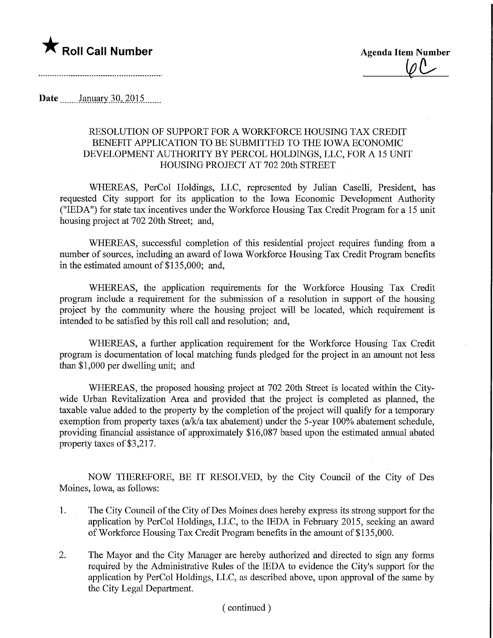

 $\varphi$ 

**Date** January 30, 2015

## RESOLUTION OF SUPPORT FOR A WORKFORCE HOUSING TAX CREDIT BENEFIT APPLICATION TO BE SUBMITTED TO THE IOWA ECONOMIC DEVELOPMENT AUTHORITY BY PERCOL HOLDINGS, LLC, FOR A 15 UNIT HOUSING PROJECT AT 702 20th STREET

WHEREAS, PerCol Holdings, LLC, represented by Julian Caselli, President, has requested City support for its application to the Iowa Economic Development Authority ("IEDA") for state tax incentives under the Workforce Housing Tax Credit Program for a 15 unit housing project at 702 20th Street; and,

WHEREAS, successful completion of this residential project requires funding from a number of sources, including an award of Iowa Workforce Housing Tax Credit Program benefits in the estimated amount of  $$135,000$ ; and,

WHEREAS, the application requirements for the Workforce Housing Tax Credit program include a requirement for the submission of a resolution in support of the housing project by the community where the housing project will be located, which requirement is intended to be satisfied by this roll call and resolution; and,

WHEREAS, a further application requirement for the Workforce Housing Tax Credit program is documentation of local matching funds pledged for the project in an amount not less than \$1,000 per dwelling unit; and

WHEREAS, the proposed housing project at 702 20th Street is located within the Citywide Urban Revitalization Area and provided that the project is completed as planned, the taxable value added to the property by the completion of the project will qualify for a temporary exemption from property taxes (a/k/a tax abatement) under the 5-year 100% abatement schedule, providing financial assistance of approximately \$16,087 based upon the estimated annual abated property taxes of \$3,217.

NOW THEREFORE, BE IT RESOLVED, by the City Council of the City of Des Moines, Iowa, as follows:

- 1. The City Council of the City of Des Moines does hereby express its strong support for the application by PerCol Holdings, LLC, to the IEDA in February 2015, seeking an award of Workforce Housing Tax Credit Program benefits in the amount of \$135,000.
- 2. The Mayor and the City Manager are hereby authorized and directed to sign any forms required by the Administrative Rules of the IEDA to evidence the City's support for the application by PerCol Holdings, LLC, as described above, upon approval of the same by the City Legal Department.

## ( continued )